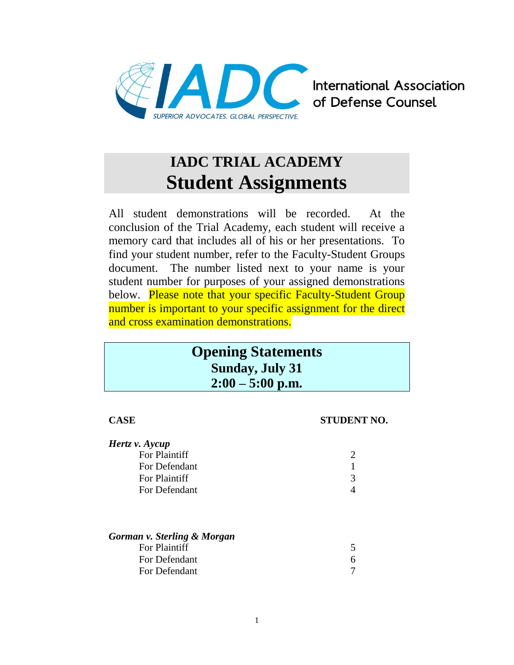

**International Association** of Defense Counsel

# **IADC TRIAL ACADEMY Student Assignments**

All student demonstrations will be recorded. At the conclusion of the Trial Academy, each student will receive a memory card that includes all of his or her presentations. To find your student number, refer to the Faculty-Student Groups document. The number listed next to your name is your student number for purposes of your assigned demonstrations below. Please note that your specific Faculty-Student Group number is important to your specific assignment for the direct and cross examination demonstrations.

# **Opening Statements Sunday, July 31 2:00 – 5:00 p.m.**

# **CASE STUDENT NO.** *Hertz v. Aycup* For Plaintiff 2 For Defendant 1 For Plaintiff 3 For Defendant 4 *Gorman v. Sterling & Morgan* For Plaintiff 5 For Defendant 6

For Defendant 7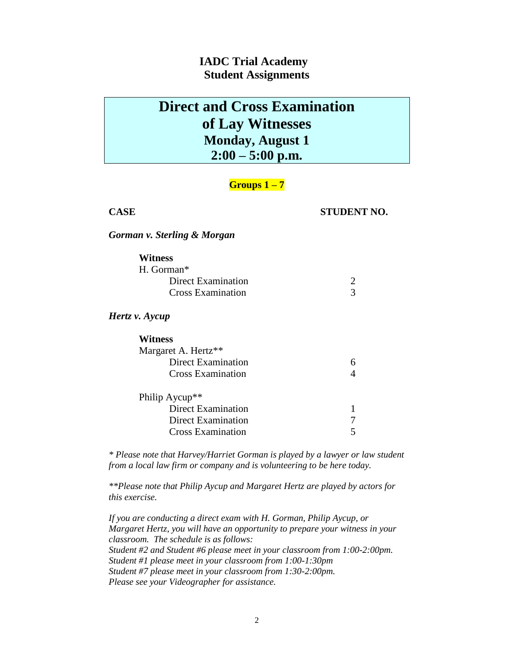# **Direct and Cross Examination of Lay Witnesses Monday, August 1 2:00 – 5:00 p.m.**

## **Groups 1 – 7**

### **CASE STUDENT NO.**

*Gorman v. Sterling & Morgan*

| <b>Witness</b>            |   |
|---------------------------|---|
| H. Gorman*                |   |
| <b>Direct Examination</b> | 2 |
| <b>Cross Examination</b>  | 3 |
| Hertz v. Aycup            |   |
| Witness                   |   |
| Margaret A. Hertz**       |   |
| <b>Direct Examination</b> | 6 |
| <b>Cross Examination</b>  |   |
| Philip Aycup**            |   |
| <b>Direct Examination</b> |   |
| <b>Direct Examination</b> |   |
| <b>Cross Examination</b>  |   |

*\* Please note that Harvey/Harriet Gorman is played by a lawyer or law student from a local law firm or company and is volunteering to be here today.*

*\*\*Please note that Philip Aycup and Margaret Hertz are played by actors for this exercise.*

*If you are conducting a direct exam with H. Gorman, Philip Aycup, or Margaret Hertz, you will have an opportunity to prepare your witness in your classroom. The schedule is as follows: Student #2 and Student #6 please meet in your classroom from 1:00-2:00pm. Student #1 please meet in your classroom from 1:00-1:30pm Student #7 please meet in your classroom from 1:30-2:00pm. Please see your Videographer for assistance.*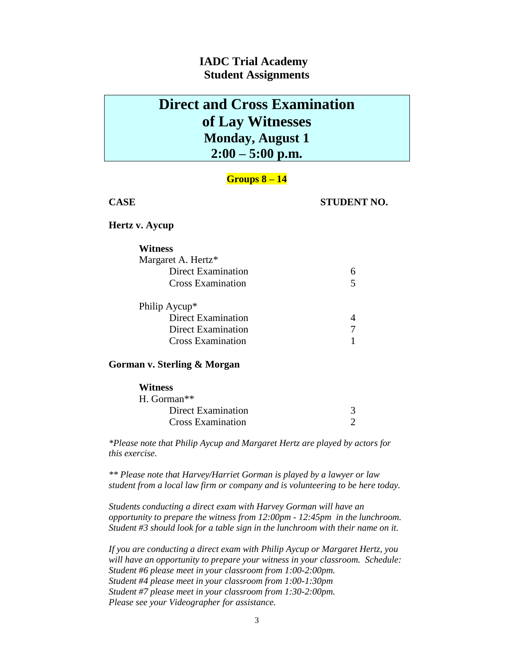# **Direct and Cross Examination of Lay Witnesses Monday, August 1 2:00 – 5:00 p.m.**

### **Groups 8 – 14**

### **CASE STUDENT NO.**

### **Hertz v. Aycup**

| <b>Witness</b>            |  |
|---------------------------|--|
| Margaret A. Hertz*        |  |
| <b>Direct Examination</b> |  |
| <b>Cross Examination</b>  |  |
| Philip Aycup*             |  |
| <b>Direct Examination</b> |  |
| Direct Examination        |  |
| <b>Cross Examination</b>  |  |

### **Gorman v. Sterling & Morgan**

| <b>Witness</b>            |  |
|---------------------------|--|
| $H.$ Gorman <sup>**</sup> |  |
| Direct Examination        |  |
| <b>Cross Examination</b>  |  |

*\*Please note that Philip Aycup and Margaret Hertz are played by actors for this exercise.*

*\*\* Please note that Harvey/Harriet Gorman is played by a lawyer or law student from a local law firm or company and is volunteering to be here today.*

*Students conducting a direct exam with Harvey Gorman will have an opportunity to prepare the witness from 12:00pm - 12:45pm in the lunchroom. Student #3 should look for a table sign in the lunchroom with their name on it.* 

*If you are conducting a direct exam with Philip Aycup or Margaret Hertz, you will have an opportunity to prepare your witness in your classroom. Schedule: Student #6 please meet in your classroom from 1:00-2:00pm. Student #4 please meet in your classroom from 1:00-1:30pm Student #7 please meet in your classroom from 1:30-2:00pm. Please see your Videographer for assistance.*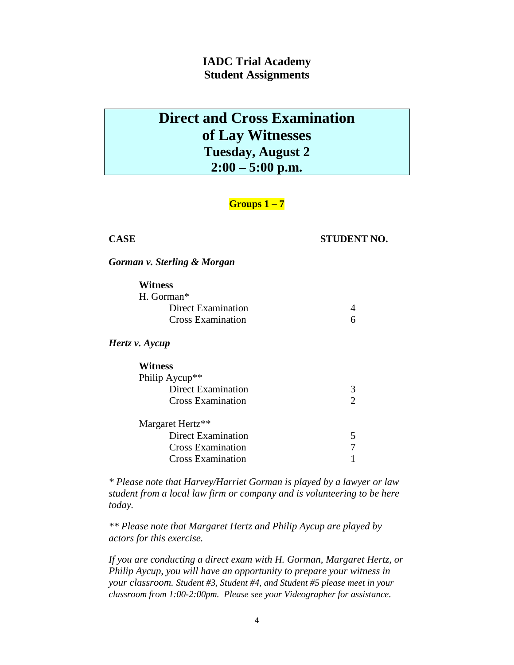# **Direct and Cross Examination of Lay Witnesses Tuesday, August 2 2:00 – 5:00 p.m.**

## **Groups 1 – 7**

### **CASE STUDENT NO.**

*Gorman v. Sterling & Morgan*

| <b>Witness</b>             |               |
|----------------------------|---------------|
| H. Gorman*                 |               |
| Direct Examination         |               |
| <b>Cross Examination</b>   | 6             |
| Hertz v. Aycup             |               |
| <b>Witness</b>             |               |
| Philip Aycup <sup>**</sup> |               |
| Direct Examination         | 3             |
| <b>Cross Examination</b>   | $\mathcal{D}$ |
| Margaret Hertz**           |               |
| <b>Direct Examination</b>  | 5             |
| <b>Cross Examination</b>   |               |
| <b>Cross Examination</b>   |               |

*\* Please note that Harvey/Harriet Gorman is played by a lawyer or law student from a local law firm or company and is volunteering to be here today.*

*\*\* Please note that Margaret Hertz and Philip Aycup are played by actors for this exercise.*

*If you are conducting a direct exam with H. Gorman, Margaret Hertz, or Philip Aycup, you will have an opportunity to prepare your witness in your classroom. Student #3, Student #4, and Student #5 please meet in your classroom from 1:00-2:00pm. Please see your Videographer for assistance.*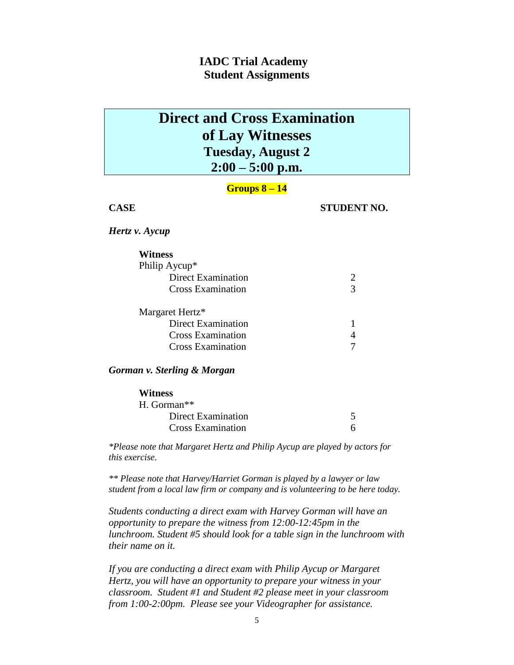# **Direct and Cross Examination of Lay Witnesses Tuesday, August 2 2:00 – 5:00 p.m.**

### **Groups 8 – 14**

**CASE STUDENT NO.**

*Hertz v. Aycup*

| Witness                  |   |
|--------------------------|---|
| Philip Aycup*            |   |
| Direct Examination       |   |
| <b>Cross Examination</b> | 3 |
| Margaret Hertz*          |   |
| Direct Examination       |   |
| <b>Cross Examination</b> |   |
| Cross Examination        |   |

*Gorman v. Sterling & Morgan*

| <b>Witness</b>            |  |
|---------------------------|--|
| $H.$ Gorman <sup>**</sup> |  |
| <b>Direct Examination</b> |  |
| Cross Examination         |  |

*\*Please note that Margaret Hertz and Philip Aycup are played by actors for this exercise.*

*\*\* Please note that Harvey/Harriet Gorman is played by a lawyer or law student from a local law firm or company and is volunteering to be here today.*

*Students conducting a direct exam with Harvey Gorman will have an opportunity to prepare the witness from 12:00-12:45pm in the lunchroom. Student #5 should look for a table sign in the lunchroom with their name on it.* 

*If you are conducting a direct exam with Philip Aycup or Margaret Hertz, you will have an opportunity to prepare your witness in your classroom. Student #1 and Student #2 please meet in your classroom from 1:00-2:00pm. Please see your Videographer for assistance.*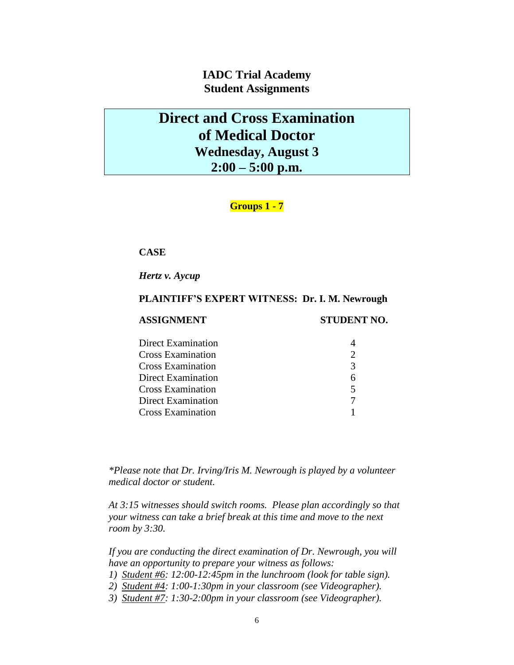# **Direct and Cross Examination of Medical Doctor Wednesday, August 3 2:00 – 5:00 p.m.**

## **Groups 1 - 7**

### **CASE**

*Hertz v. Aycup*

### **PLAINTIFF'S EXPERT WITNESS: Dr. I. M. Newrough**

### **ASSIGNMENT STUDENT NO.**

| $\mathcal{R}$ |
|---------------|
|               |
|               |
|               |
|               |
|               |

*\*Please note that Dr. Irving/Iris M. Newrough is played by a volunteer medical doctor or student.*

*At 3:15 witnesses should switch rooms. Please plan accordingly so that your witness can take a brief break at this time and move to the next room by 3:30.*

*If you are conducting the direct examination of Dr. Newrough, you will have an opportunity to prepare your witness as follows:*

- *1) Student #6: 12:00-12:45pm in the lunchroom (look for table sign).*
- *2) Student #4: 1:00-1:30pm in your classroom (see Videographer).*
- *3) Student #7: 1:30-2:00pm in your classroom (see Videographer).*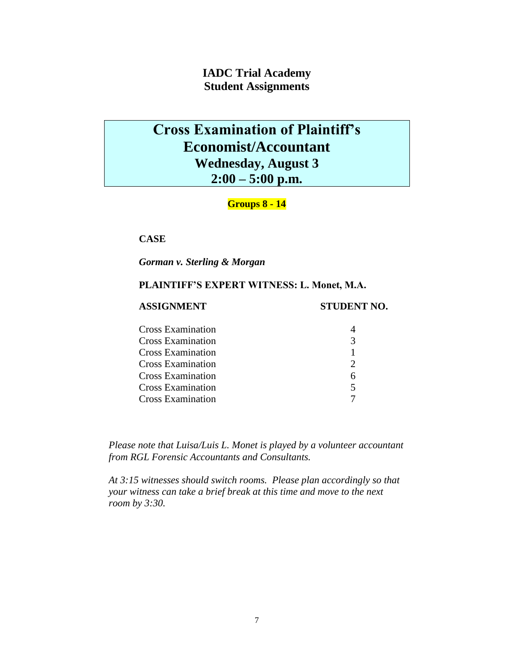# **Cross Examination of Plaintiff's Economist/Accountant Wednesday, August 3 2:00 – 5:00 p.m.**

## **Groups 8 - 14**

### **CASE**

*Gorman v. Sterling & Morgan*

### **PLAINTIFF'S EXPERT WITNESS: L. Monet, M.A.**

### **ASSIGNMENT STUDENT NO.**

| 5 |
|---|
|   |
|   |

*Please note that Luisa/Luis L. Monet is played by a volunteer accountant from RGL Forensic Accountants and Consultants.*

*At 3:15 witnesses should switch rooms. Please plan accordingly so that your witness can take a brief break at this time and move to the next room by 3:30.*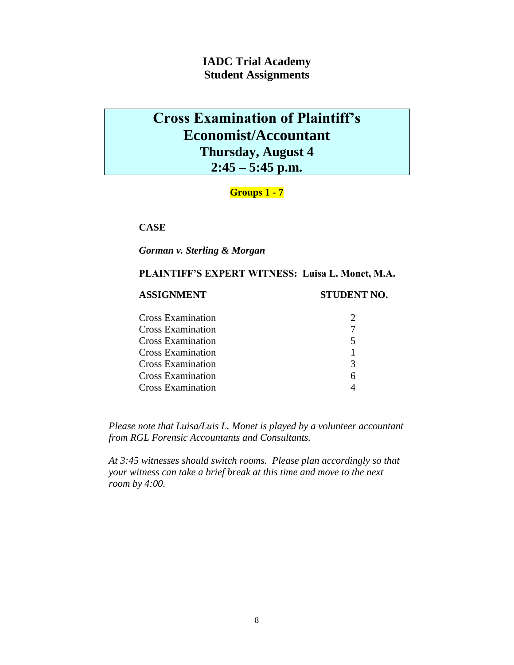# **Cross Examination of Plaintiff's Economist/Accountant Thursday, August 4 2:45 – 5:45 p.m.**

## **Groups 1 - 7**

**CASE**

*Gorman v. Sterling & Morgan*

### **PLAINTIFF'S EXPERT WITNESS: Luisa L. Monet, M.A.**

**ASSIGNMENT STUDENT NO.**

| <b>Cross Examination</b> |   |
|--------------------------|---|
| <b>Cross Examination</b> |   |
| <b>Cross Examination</b> | 5 |
| <b>Cross Examination</b> |   |
| <b>Cross Examination</b> | 3 |
| <b>Cross Examination</b> | 6 |
| <b>Cross Examination</b> |   |

*Please note that Luisa/Luis L. Monet is played by a volunteer accountant from RGL Forensic Accountants and Consultants.*

*At 3:45 witnesses should switch rooms. Please plan accordingly so that your witness can take a brief break at this time and move to the next room by 4:00.*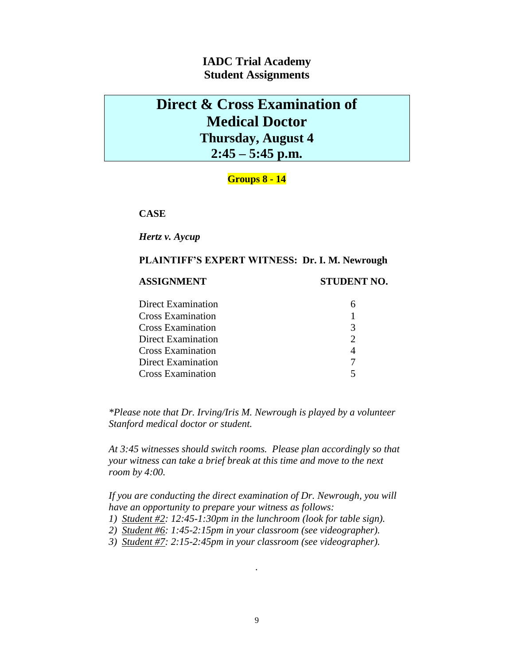# **Direct & Cross Examination of Medical Doctor Thursday, August 4 2:45 – 5:45 p.m.**

### **Groups 8 - 14**

**CASE**

### *Hertz v. Aycup*

### **PLAINTIFF'S EXPERT WITNESS: Dr. I. M. Newrough**

### **ASSIGNMENT STUDENT NO.**

| <b>Direct Examination</b> |   |
|---------------------------|---|
| <b>Cross Examination</b>  |   |
| <b>Cross Examination</b>  | 3 |
| Direct Examination        | 2 |
| <b>Cross Examination</b>  |   |
| Direct Examination        |   |
| <b>Cross Examination</b>  |   |

*\*Please note that Dr. Irving/Iris M. Newrough is played by a volunteer Stanford medical doctor or student.* 

*At 3:45 witnesses should switch rooms. Please plan accordingly so that your witness can take a brief break at this time and move to the next room by 4:00.*

*If you are conducting the direct examination of Dr. Newrough, you will have an opportunity to prepare your witness as follows:*

- *1) Student #2: 12:45-1:30pm in the lunchroom (look for table sign).*
- *2) Student #6: 1:45-2:15pm in your classroom (see videographer).*
- *3) Student #7: 2:15-2:45pm in your classroom (see videographer).*

*.*